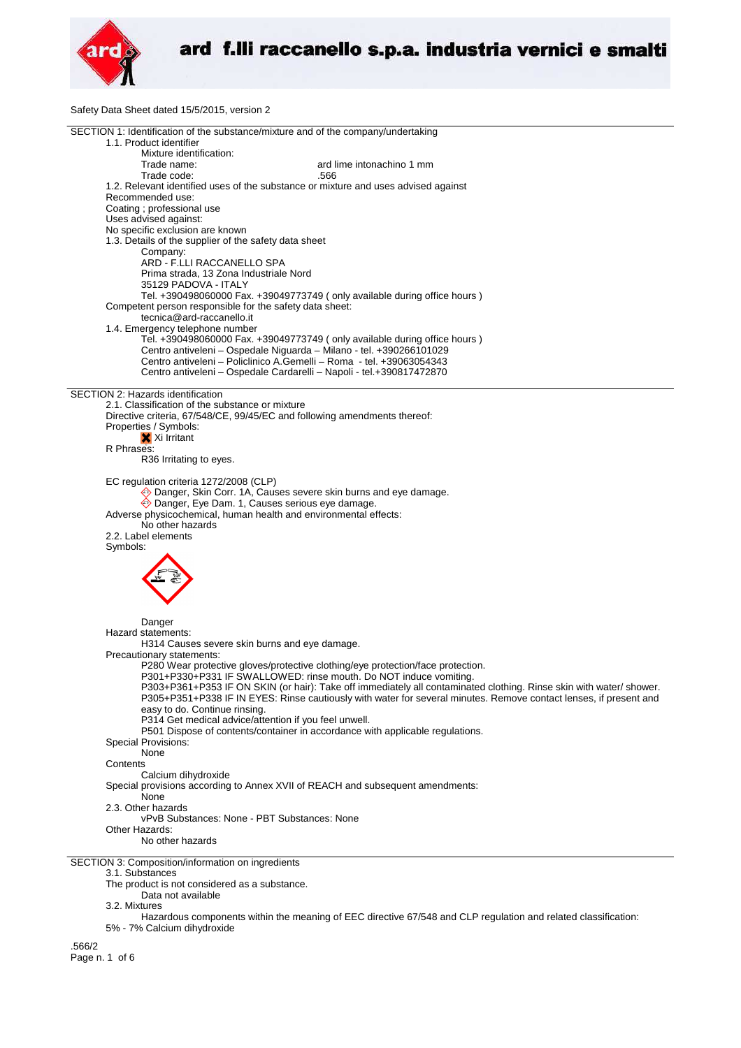

Safety Data Sheet dated 15/5/2015, version 2

| SECTION 1: Identification of the substance/mixture and of the company/undertaking                                                             |
|-----------------------------------------------------------------------------------------------------------------------------------------------|
| 1.1. Product identifier                                                                                                                       |
| Mixture identification:                                                                                                                       |
| ard lime intonachino 1 mm<br>Trade name:                                                                                                      |
| Trade code:<br>.566                                                                                                                           |
| 1.2. Relevant identified uses of the substance or mixture and uses advised against                                                            |
| Recommended use:                                                                                                                              |
|                                                                                                                                               |
| Coating ; professional use                                                                                                                    |
| Uses advised against:                                                                                                                         |
| No specific exclusion are known                                                                                                               |
| 1.3. Details of the supplier of the safety data sheet                                                                                         |
| Company:                                                                                                                                      |
| ARD - F.LLI RACCANELLO SPA                                                                                                                    |
| Prima strada, 13 Zona Industriale Nord                                                                                                        |
| 35129 PADOVA - ITALY                                                                                                                          |
| Tel. +390498060000 Fax. +39049773749 (only available during office hours)                                                                     |
| Competent person responsible for the safety data sheet:                                                                                       |
| tecnica@ard-raccanello.it                                                                                                                     |
|                                                                                                                                               |
| 1.4. Emergency telephone number                                                                                                               |
| Tel. +390498060000 Fax. +39049773749 (only available during office hours)                                                                     |
| Centro antiveleni - Ospedale Niguarda - Milano - tel. +390266101029                                                                           |
| Centro antiveleni - Policlinico A.Gemelli - Roma - tel. +39063054343                                                                          |
| Centro antiveleni - Ospedale Cardarelli - Napoli - tel.+390817472870                                                                          |
|                                                                                                                                               |
| SECTION 2: Hazards identification                                                                                                             |
| 2.1. Classification of the substance or mixture                                                                                               |
| Directive criteria, 67/548/CE, 99/45/EC and following amendments thereof:                                                                     |
| Properties / Symbols:                                                                                                                         |
| X Xi Irritant                                                                                                                                 |
|                                                                                                                                               |
| R Phrases:                                                                                                                                    |
| R36 Irritating to eyes.                                                                                                                       |
|                                                                                                                                               |
| EC regulation criteria 1272/2008 (CLP)                                                                                                        |
| ♦ Danger, Skin Corr. 1A, Causes severe skin burns and eye damage.                                                                             |
| Danger, Eye Dam. 1, Causes serious eye damage.                                                                                                |
| Adverse physicochemical, human health and environmental effects:                                                                              |
| No other hazards                                                                                                                              |
| 2.2. Label elements                                                                                                                           |
| Symbols:                                                                                                                                      |
|                                                                                                                                               |
|                                                                                                                                               |
|                                                                                                                                               |
|                                                                                                                                               |
|                                                                                                                                               |
|                                                                                                                                               |
|                                                                                                                                               |
| Danger                                                                                                                                        |
| Hazard statements:                                                                                                                            |
| H314 Causes severe skin burns and eye damage.                                                                                                 |
| Precautionary statements:                                                                                                                     |
| P280 Wear protective gloves/protective clothing/eye protection/face protection.                                                               |
| P301+P330+P331 IF SWALLOWED: rinse mouth. Do NOT induce vomiting.                                                                             |
| P303+P361+P353 IF ON SKIN (or hair): Take off immediately all contaminated clothing. Rinse skin with water/ shower.                           |
| P305+P351+P338 IF IN EYES: Rinse cautiously with water for several minutes. Remove contact lenses, if present and                             |
| easy to do. Continue rinsing.                                                                                                                 |
|                                                                                                                                               |
| P314 Get medical advice/attention if you feel unwell.                                                                                         |
| P501 Dispose of contents/container in accordance with applicable regulations.                                                                 |
| <b>Special Provisions:</b>                                                                                                                    |
| None                                                                                                                                          |
| Contents                                                                                                                                      |
| Calcium dihydroxide                                                                                                                           |
| Special provisions according to Annex XVII of REACH and subsequent amendments:                                                                |
| None                                                                                                                                          |
| 2.3. Other hazards                                                                                                                            |
| vPvB Substances: None - PBT Substances: None                                                                                                  |
| Other Hazards:                                                                                                                                |
|                                                                                                                                               |
| No other hazards                                                                                                                              |
|                                                                                                                                               |
| SECTION 3: Composition/information on ingredients                                                                                             |
| 3.1. Substances                                                                                                                               |
| The product is not considered as a substance.                                                                                                 |
| Data not available                                                                                                                            |
| 3.2. Mixtures                                                                                                                                 |
| Hazardous components within the meaning of EEC directive 67/548 and CLP regulation and related classification:<br>50/ 70/ Colojum dibudrovido |
|                                                                                                                                               |

5% - 7% Calcium dihydroxide

.566/2

Page n. 1 of 6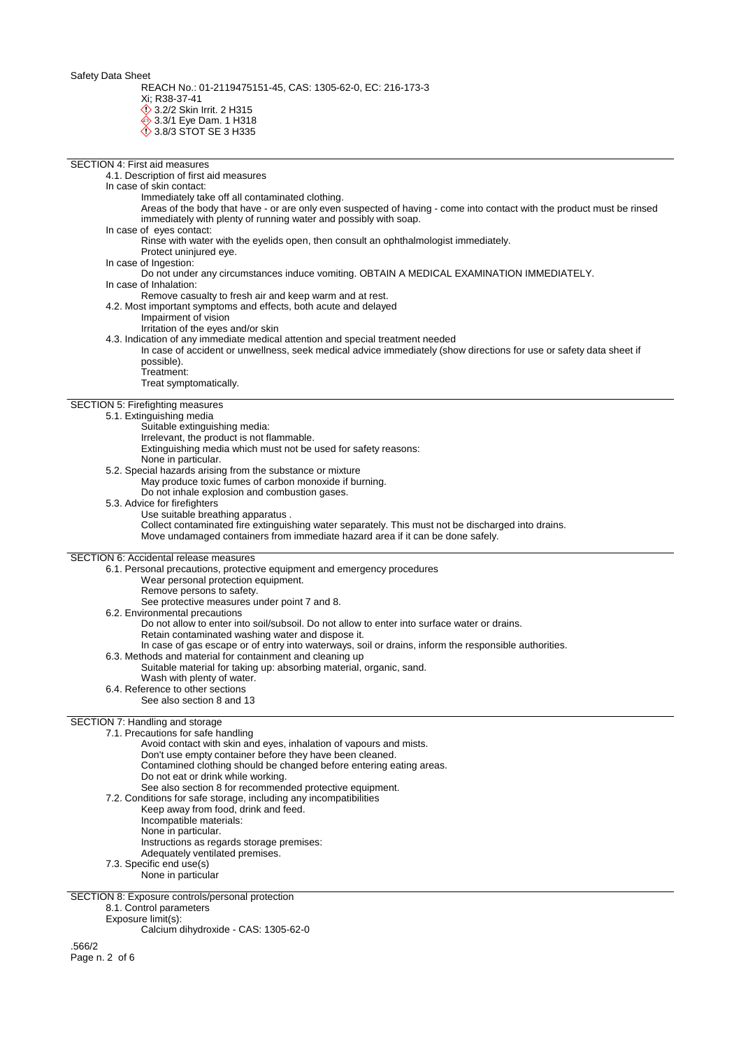Safety Data Sheet

REACH No.: 01-2119475151-45, CAS: 1305-62-0, EC: 216-173-3 Xi; R38-37-41

**1** 3.2/2 Skin Irrit. 2 H315

**♦ 3.3/1 Eye Dam. 1 H318** 

**♦ 3.8/3 STOT SE 3 H335** 

SECTION 4: First aid measures 4.1. Description of first aid measures In case of skin contact: Immediately take off all contaminated clothing. Areas of the body that have - or are only even suspected of having - come into contact with the product must be rinsed immediately with plenty of running water and possibly with soap. In case of eyes contact: Rinse with water with the eyelids open, then consult an ophthalmologist immediately. Protect uninjured eye. In case of Ingestion: Do not under any circumstances induce vomiting. OBTAIN A MEDICAL EXAMINATION IMMEDIATELY. In case of Inhalation: Remove casualty to fresh air and keep warm and at rest. 4.2. Most important symptoms and effects, both acute and delayed Impairment of vision Irritation of the eyes and/or skin 4.3. Indication of any immediate medical attention and special treatment needed In case of accident or unwellness, seek medical advice immediately (show directions for use or safety data sheet if possible). Treatment: Treat symptomatically. SECTION 5: Firefighting measures 5.1. Extinguishing media Suitable extinguishing media: Irrelevant, the product is not flammable. Extinguishing media which must not be used for safety reasons: None in particular. 5.2. Special hazards arising from the substance or mixture May produce toxic fumes of carbon monoxide if burning. Do not inhale explosion and combustion gases. 5.3. Advice for firefighters Use suitable breathing apparatus . Collect contaminated fire extinguishing water separately. This must not be discharged into drains. Move undamaged containers from immediate hazard area if it can be done safely. SECTION 6: Accidental release measures 6.1. Personal precautions, protective equipment and emergency procedures Wear personal protection equipment. Remove persons to safety. See protective measures under point 7 and 8. 6.2. Environmental precautions Do not allow to enter into soil/subsoil. Do not allow to enter into surface water or drains. Retain contaminated washing water and dispose it. In case of gas escape or of entry into waterways, soil or drains, inform the responsible authorities. 6.3. Methods and material for containment and cleaning up Suitable material for taking up: absorbing material, organic, sand. Wash with plenty of water. 6.4. Reference to other sections See also section 8 and 13 SECTION 7: Handling and storage 7.1. Precautions for safe handling Avoid contact with skin and eyes, inhalation of vapours and mists. Don't use empty container before they have been cleaned. Contamined clothing should be changed before entering eating areas. Do not eat or drink while working. See also section 8 for recommended protective equipment. 7.2. Conditions for safe storage, including any incompatibilities Keep away from food, drink and feed. Incompatible materials: None in particular. Instructions as regards storage premises: Adequately ventilated premises. 7.3. Specific end use(s) None in particular SECTION 8: Exposure controls/personal protection

8.1. Control parameters

Exposure limit(s):

Calcium dihydroxide - CAS: 1305-62-0

.566/2 Page n. 2 of 6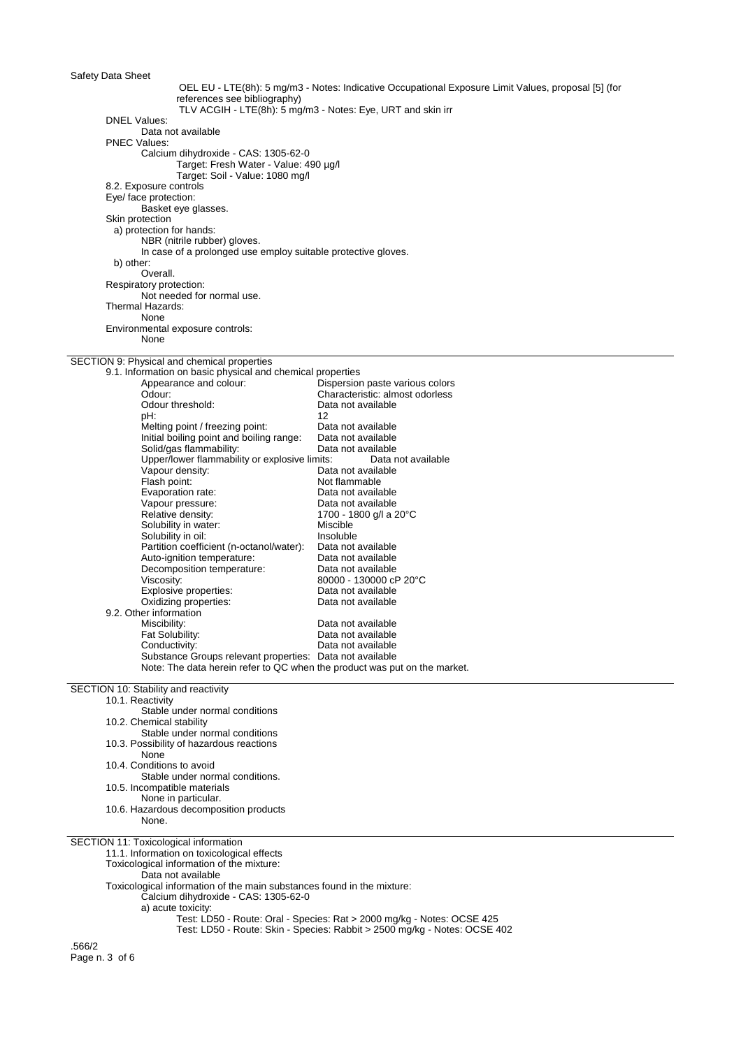| Safety Data Sheet                                                                             |                                                                                                     |
|-----------------------------------------------------------------------------------------------|-----------------------------------------------------------------------------------------------------|
|                                                                                               | OEL EU - LTE(8h): 5 mg/m3 - Notes: Indicative Occupational Exposure Limit Values, proposal [5] (for |
| references see bibliography)                                                                  |                                                                                                     |
|                                                                                               | TLV ACGIH - LTE(8h): 5 mg/m3 - Notes: Eye, URT and skin irr                                         |
| <b>DNEL Values:</b>                                                                           |                                                                                                     |
| Data not available<br><b>PNEC Values:</b>                                                     |                                                                                                     |
| Calcium dihydroxide - CAS: 1305-62-0                                                          |                                                                                                     |
| Target: Fresh Water - Value: 490 µg/l                                                         |                                                                                                     |
| Target: Soil - Value: 1080 mg/l                                                               |                                                                                                     |
| 8.2. Exposure controls                                                                        |                                                                                                     |
| Eye/ face protection:                                                                         |                                                                                                     |
| Basket eye glasses.                                                                           |                                                                                                     |
| Skin protection                                                                               |                                                                                                     |
| a) protection for hands:                                                                      |                                                                                                     |
| NBR (nitrile rubber) gloves.<br>In case of a prolonged use employ suitable protective gloves. |                                                                                                     |
| b) other:                                                                                     |                                                                                                     |
| Overall.                                                                                      |                                                                                                     |
| Respiratory protection:                                                                       |                                                                                                     |
| Not needed for normal use.                                                                    |                                                                                                     |
| Thermal Hazards:                                                                              |                                                                                                     |
| None                                                                                          |                                                                                                     |
| Environmental exposure controls:                                                              |                                                                                                     |
| None                                                                                          |                                                                                                     |
| SECTION 9: Physical and chemical properties                                                   |                                                                                                     |
| 9.1. Information on basic physical and chemical properties                                    |                                                                                                     |
| Appearance and colour:                                                                        | Dispersion paste various colors                                                                     |
| Odour:                                                                                        | Characteristic: almost odorless                                                                     |
| Odour threshold:                                                                              | Data not available                                                                                  |
| pH:                                                                                           | 12                                                                                                  |
| Melting point / freezing point:                                                               | Data not available                                                                                  |
| Initial boiling point and boiling range:                                                      | Data not available                                                                                  |
| Solid/gas flammability:<br>Upper/lower flammability or explosive limits:                      | Data not available<br>Data not available                                                            |
| Vapour density:                                                                               | Data not available                                                                                  |
| Flash point:                                                                                  | Not flammable                                                                                       |
| Evaporation rate:                                                                             | Data not available                                                                                  |
| Vapour pressure:                                                                              | Data not available                                                                                  |
| Relative density:                                                                             | 1700 - 1800 g/l a 20°C                                                                              |
| Solubility in water:                                                                          | Miscible                                                                                            |
| Solubility in oil:                                                                            | Insoluble                                                                                           |
| Partition coefficient (n-octanol/water):<br>Auto-ignition temperature:                        | Data not available<br>Data not available                                                            |
| Decomposition temperature:                                                                    | Data not available                                                                                  |
| Viscosity:                                                                                    | 80000 - 130000 cP 20°C                                                                              |
| Explosive properties:                                                                         | Data not available                                                                                  |
| Oxidizing properties:                                                                         | Data not available                                                                                  |
| 9.2. Other information                                                                        |                                                                                                     |
| Miscibility:                                                                                  | Data not available                                                                                  |
| Fat Solubility:<br>Conductivity:                                                              | Data not available                                                                                  |
| Substance Groups relevant properties: Data not available                                      | Data not available                                                                                  |
| Note: The data herein refer to QC when the product was put on the market.                     |                                                                                                     |
|                                                                                               |                                                                                                     |
| SECTION 10: Stability and reactivity                                                          |                                                                                                     |
| 10.1. Reactivity                                                                              |                                                                                                     |
| Stable under normal conditions                                                                |                                                                                                     |
| 10.2. Chemical stability<br>Stable under normal conditions                                    |                                                                                                     |
| 10.3. Possibility of hazardous reactions                                                      |                                                                                                     |
| None                                                                                          |                                                                                                     |
| 10.4. Conditions to avoid                                                                     |                                                                                                     |
| Stable under normal conditions.                                                               |                                                                                                     |
| 10.5. Incompatible materials                                                                  |                                                                                                     |
| None in particular.                                                                           |                                                                                                     |
| 10.6. Hazardous decomposition products                                                        |                                                                                                     |
| None.                                                                                         |                                                                                                     |
| SECTION 11: Toxicological information                                                         |                                                                                                     |
| 11.1. Information on toxicological effects                                                    |                                                                                                     |
| Toxicological information of the mixture:                                                     |                                                                                                     |
| Data not available                                                                            |                                                                                                     |
| Toxicological information of the main substances found in the mixture:                        |                                                                                                     |
| Calcium dihydroxide - CAS: 1305-62-0                                                          |                                                                                                     |
| a) acute toxicity:                                                                            | Test: LD50 - Route: Oral - Species: Rat > 2000 mg/kg - Notes: OCSE 425                              |
|                                                                                               | Test: LD50 - Route: Skin - Species: Rabbit > 2500 mg/kg - Notes: OCSE 402                           |
|                                                                                               |                                                                                                     |
| .566/2<br>$D_{2000}$ $D_{16}$                                                                 |                                                                                                     |

Page n. 3 of 6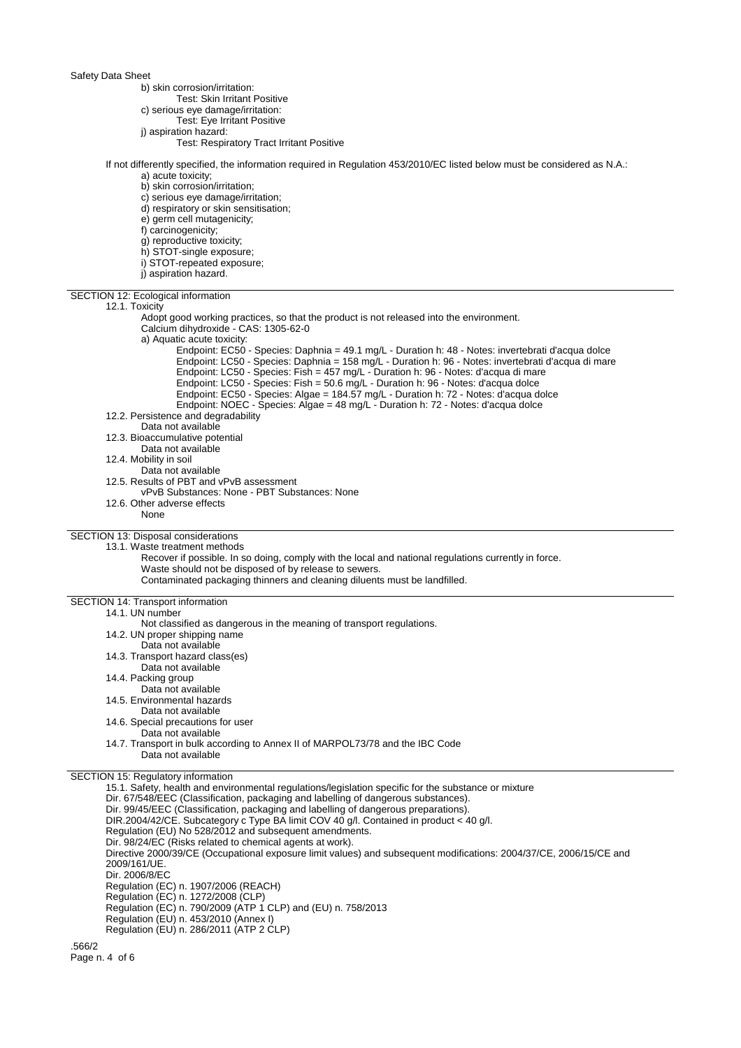## Safety Data Sheet

b) skin corrosion/irritation:

- Test: Skin Irritant Positive
- c) serious eye damage/irritation:
	- Test: Eye Irritant Positive
- j) aspiration hazard:
	- Test: Respiratory Tract Irritant Positive

## If not differently specified, the information required in Regulation 453/2010/EC listed below must be considered as N.A.:

- a) acute toxicity;
- b) skin corrosion/irritation;
- c) serious eye damage/irritation;
- d) respiratory or skin sensitisation;
- e) germ cell mutagenicity;
- f) carcinogenicity;
- g) reproductive toxicity;
- h) STOT-single exposure;
- i) STOT-repeated exposure;
- j) aspiration hazard.

SECTION 12: Ecological information 12.1. Toxicity Adopt good working practices, so that the product is not released into the environment. Calcium dihydroxide - CAS: 1305-62-0 a) Aquatic acute toxicity: Endpoint: EC50 - Species: Daphnia = 49.1 mg/L - Duration h: 48 - Notes: invertebrati d'acqua dolce Endpoint: LC50 - Species: Daphnia = 158 mg/L - Duration h: 96 - Notes: invertebrati d'acqua di mare Endpoint: LC50 - Species: Fish = 457 mg/L - Duration h: 96 - Notes: d'acqua di mare Endpoint: LC50 - Species: Fish = 50.6 mg/L - Duration h: 96 - Notes: d'acqua dolce Endpoint: EC50 - Species: Algae = 184.57 mg/L - Duration h: 72 - Notes: d'acqua dolce Endpoint: NOEC - Species: Algae = 48 mg/L - Duration h: 72 - Notes: d'acqua dolce 12.2. Persistence and degradability Data not available 12.3. Bioaccumulative potential Data not available 12.4. Mobility in soil Data not available 12.5. Results of PBT and vPvB assessment vPvB Substances: None - PBT Substances: None 12.6. Other adverse effects None SECTION 13: Disposal considerations 13.1. Waste treatment methods Recover if possible. In so doing, comply with the local and national regulations currently in force. Waste should not be disposed of by release to sewers. Contaminated packaging thinners and cleaning diluents must be landfilled. SECTION 14: Transport information 14.1. UN number Not classified as dangerous in the meaning of transport regulations. 14.2. UN proper shipping name Data not available 14.3. Transport hazard class(es) Data not available 14.4. Packing group Data not available 14.5. Environmental hazards Data not available 14.6. Special precautions for user Data not available 14.7. Transport in bulk according to Annex II of MARPOL73/78 and the IBC Code Data not available SECTION 15: Regulatory information 15.1. Safety, health and environmental regulations/legislation specific for the substance or mixture Dir. 67/548/EEC (Classification, packaging and labelling of dangerous substances). Dir. 99/45/EEC (Classification, packaging and labelling of dangerous preparations). DIR.2004/42/CE. Subcategory c Type BA limit COV 40 g/l. Contained in product < 40 g/l. Regulation (EU) No 528/2012 and subsequent amendments. Dir. 98/24/EC (Risks related to chemical agents at work). Directive 2000/39/CE (Occupational exposure limit values) and subsequent modifications: 2004/37/CE, 2006/15/CE and 2009/161/UE. Dir. 2006/8/EC Regulation (EC) n. 1907/2006 (REACH) Regulation (EC) n. 1272/2008 (CLP)

Regulation (EC) n. 790/2009 (ATP 1 CLP) and (EU) n. 758/2013

- Regulation (EU) n. 453/2010 (Annex I)
- Regulation (EU) n. 286/2011 (ATP 2 CLP)

.566/2 Page n. 4 of 6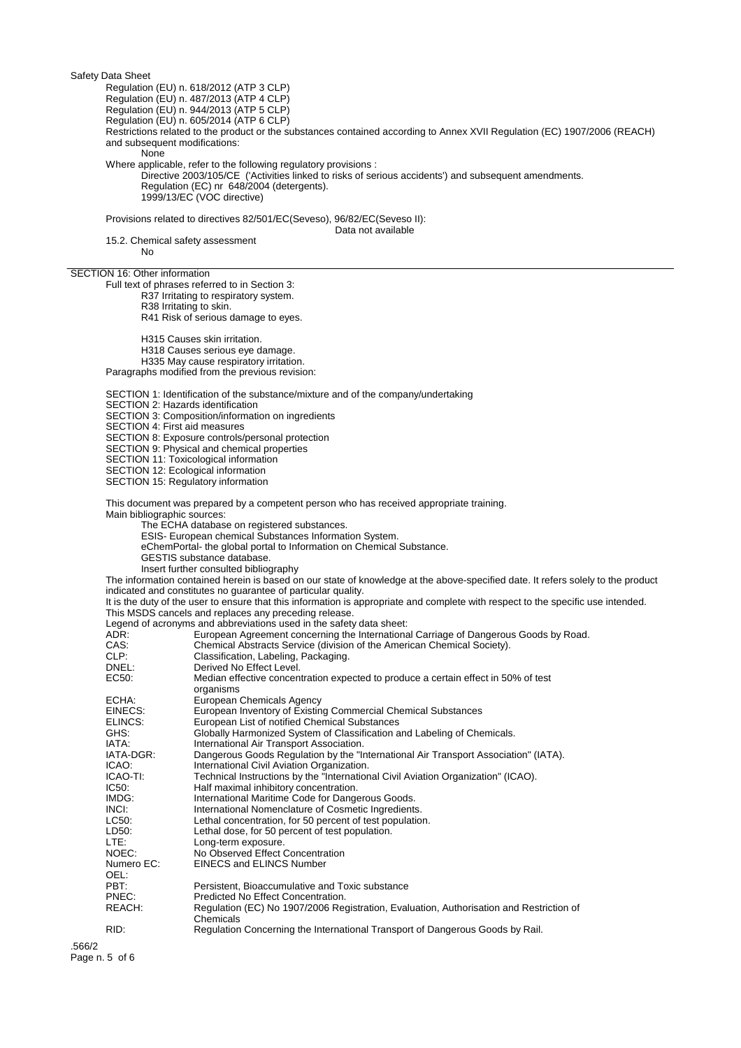Safety Data Sheet

Regulation (EU) n. 618/2012 (ATP 3 CLP)

Regulation (EU) n. 487/2013 (ATP 4 CLP)

Regulation (EU) n. 944/2013 (ATP 5 CLP)

Regulation (EU) n. 605/2014 (ATP 6 CLP)

Restrictions related to the product or the substances contained according to Annex XVII Regulation (EC) 1907/2006 (REACH) and subsequent modifications:

None

Where applicable, refer to the following regulatory provisions :

Directive 2003/105/CE ('Activities linked to risks of serious accidents') and subsequent amendments. Regulation (EC) nr 648/2004 (detergents). 1999/13/EC (VOC directive)

Provisions related to directives 82/501/EC(Seveso), 96/82/EC(Seveso II): Data not available

15.2. Chemical safety assessment

No

SECTION 16: Other information

Full text of phrases referred to in Section 3:

R37 Irritating to respiratory system. R38 Irritating to skin.

R41 Risk of serious damage to eyes.

H315 Causes skin irritation. H318 Causes serious eye damage. H335 May cause respiratory irritation.

Paragraphs modified from the previous revision:

SECTION 1: Identification of the substance/mixture and of the company/undertaking

SECTION 2: Hazards identification

SECTION 3: Composition/information on ingredients

SECTION 4: First aid measures

SECTION 8: Exposure controls/personal protection

SECTION 9: Physical and chemical properties

SECTION 11: Toxicological information

SECTION 12: Ecological information

SECTION 15: Regulatory information

This document was prepared by a competent person who has received appropriate training.

Main bibliographic sources:

The ECHA database on registered substances.

ESIS- European chemical Substances Information System.

- eChemPortal- the global portal to Information on Chemical Substance.
- GESTIS substance database.

Insert further consulted bibliography

The information contained herein is based on our state of knowledge at the above-specified date. It refers solely to the product indicated and constitutes no guarantee of particular quality.

It is the duty of the user to ensure that this information is appropriate and complete with respect to the specific use intended. This MSDS cancels and replaces any preceding release.

Legend of acronyms and abbreviations used in the safety data sheet:

| $= 0.90113$ $= 0.00101$<br>ADR: | European Agreement concerning the International Carriage of Dangerous Goods by Road.                 |
|---------------------------------|------------------------------------------------------------------------------------------------------|
| CAS:                            | Chemical Abstracts Service (division of the American Chemical Society).                              |
| CLP:                            | Classification, Labeling, Packaging.                                                                 |
| DNEL:                           | Derived No Effect Level.                                                                             |
| EC50:                           | Median effective concentration expected to produce a certain effect in 50% of test<br>organisms      |
| ECHA:                           | European Chemicals Agency                                                                            |
| EINECS:                         | European Inventory of Existing Commercial Chemical Substances                                        |
| ELINCS:                         | European List of notified Chemical Substances                                                        |
| GHS:                            | Globally Harmonized System of Classification and Labeling of Chemicals.                              |
| IATA:                           | International Air Transport Association.                                                             |
| IATA-DGR:                       | Dangerous Goods Regulation by the "International Air Transport Association" (IATA).                  |
| ICAO:                           | International Civil Aviation Organization.                                                           |
| ICAO-TI:                        | Technical Instructions by the "International Civil Aviation Organization" (ICAO).                    |
| IC50:                           | Half maximal inhibitory concentration.                                                               |
| IMDG:                           | International Maritime Code for Dangerous Goods.                                                     |
| INCI:                           | International Nomenclature of Cosmetic Ingredients.                                                  |
| LC50:                           | Lethal concentration, for 50 percent of test population.                                             |
| LD50:                           | Lethal dose, for 50 percent of test population.                                                      |
| LTE:                            | Long-term exposure.                                                                                  |
| NOEC:                           | No Observed Effect Concentration                                                                     |
| Numero EC:<br>OEL:              | <b>EINECS and ELINCS Number</b>                                                                      |
| PBT:                            | Persistent, Bioaccumulative and Toxic substance                                                      |
| PNEC:                           | Predicted No Effect Concentration.                                                                   |
| REACH:                          | Regulation (EC) No 1907/2006 Registration, Evaluation, Authorisation and Restriction of<br>Chemicals |
| RID:                            | Regulation Concerning the International Transport of Dangerous Goods by Rail.                        |
|                                 |                                                                                                      |

.566/2 Page n. 5 of 6